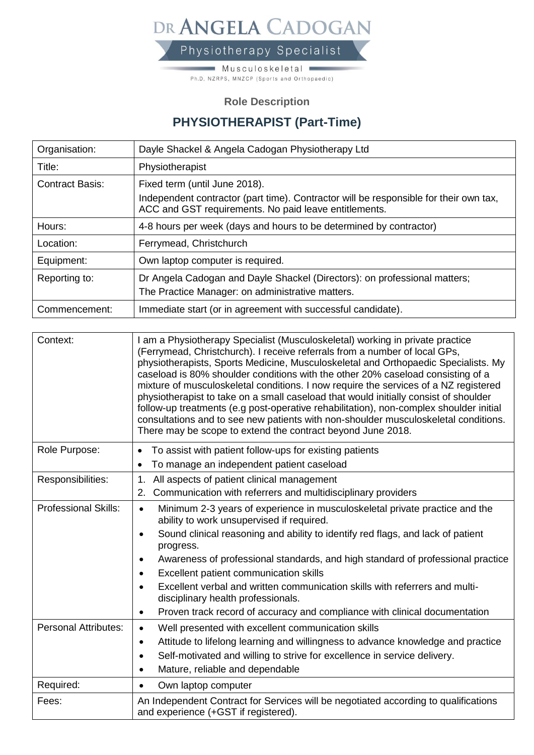DR ANGELA CADOGAN Physiotherapy Specialist

> $\blacksquare$  Musculoskeletal  $\blacksquare$ Ph.D, NZRPS, MNZCP (Sports and Orthopaedic)

## **Role Description**

## **PHYSIOTHERAPIST (Part-Time)**

| Organisation:          | Dayle Shackel & Angela Cadogan Physiotherapy Ltd                                                                                               |
|------------------------|------------------------------------------------------------------------------------------------------------------------------------------------|
| Title:                 | Physiotherapist                                                                                                                                |
| <b>Contract Basis:</b> | Fixed term (until June 2018).                                                                                                                  |
|                        | Independent contractor (part time). Contractor will be responsible for their own tax,<br>ACC and GST requirements. No paid leave entitlements. |
| Hours:                 | 4-8 hours per week (days and hours to be determined by contractor)                                                                             |
| Location:              | Ferrymead, Christchurch                                                                                                                        |
| Equipment:             | Own laptop computer is required.                                                                                                               |
| Reporting to:          | Dr Angela Cadogan and Dayle Shackel (Directors): on professional matters;                                                                      |
|                        | The Practice Manager: on administrative matters.                                                                                               |
| Commencement:          | Immediate start (or in agreement with successful candidate).                                                                                   |

| Context:                    | I am a Physiotherapy Specialist (Musculoskeletal) working in private practice<br>(Ferrymead, Christchurch). I receive referrals from a number of local GPs,<br>physiotherapists, Sports Medicine, Musculoskeletal and Orthopaedic Specialists. My<br>caseload is 80% shoulder conditions with the other 20% caseload consisting of a<br>mixture of musculoskeletal conditions. I now require the services of a NZ registered<br>physiotherapist to take on a small caseload that would initially consist of shoulder<br>follow-up treatments (e.g post-operative rehabilitation), non-complex shoulder initial<br>consultations and to see new patients with non-shoulder musculoskeletal conditions.<br>There may be scope to extend the contract beyond June 2018. |
|-----------------------------|----------------------------------------------------------------------------------------------------------------------------------------------------------------------------------------------------------------------------------------------------------------------------------------------------------------------------------------------------------------------------------------------------------------------------------------------------------------------------------------------------------------------------------------------------------------------------------------------------------------------------------------------------------------------------------------------------------------------------------------------------------------------|
| Role Purpose:               | To assist with patient follow-ups for existing patients<br>$\bullet$<br>To manage an independent patient caseload<br>$\bullet$                                                                                                                                                                                                                                                                                                                                                                                                                                                                                                                                                                                                                                       |
| Responsibilities:           | All aspects of patient clinical management<br>1.<br>Communication with referrers and multidisciplinary providers<br>2.                                                                                                                                                                                                                                                                                                                                                                                                                                                                                                                                                                                                                                               |
| <b>Professional Skills:</b> | Minimum 2-3 years of experience in musculoskeletal private practice and the<br>$\bullet$<br>ability to work unsupervised if required.<br>Sound clinical reasoning and ability to identify red flags, and lack of patient<br>$\bullet$<br>progress.<br>Awareness of professional standards, and high standard of professional practice<br>Excellent patient communication skills<br>$\bullet$<br>Excellent verbal and written communication skills with referrers and multi-<br>disciplinary health professionals.<br>Proven track record of accuracy and compliance with clinical documentation<br>٠                                                                                                                                                                 |
| <b>Personal Attributes:</b> | Well presented with excellent communication skills<br>$\bullet$<br>Attitude to lifelong learning and willingness to advance knowledge and practice<br>$\bullet$<br>Self-motivated and willing to strive for excellence in service delivery.<br>$\bullet$<br>Mature, reliable and dependable                                                                                                                                                                                                                                                                                                                                                                                                                                                                          |
| Required:                   | Own laptop computer<br>$\bullet$                                                                                                                                                                                                                                                                                                                                                                                                                                                                                                                                                                                                                                                                                                                                     |
| Fees:                       | An Independent Contract for Services will be negotiated according to qualifications<br>and experience (+GST if registered).                                                                                                                                                                                                                                                                                                                                                                                                                                                                                                                                                                                                                                          |